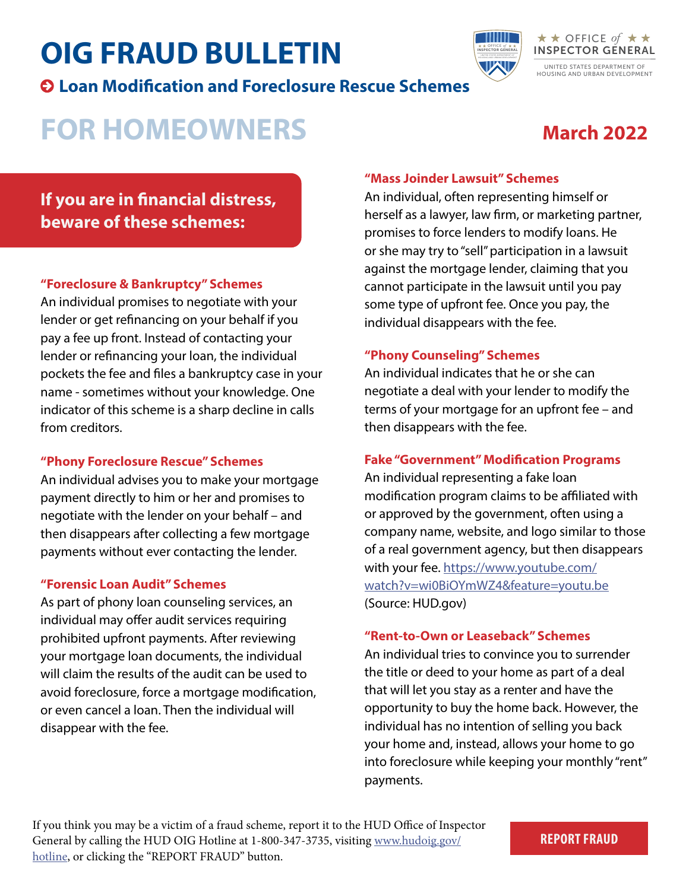# **OIG FRAUD BULLETIN**

**Loan Modification and Foreclosure Rescue Schemes**



## **FOR HOMEOWNERS**

## **March 2022**

### **If you are in financial distress, beware of these schemes:**

#### **"Foreclosure & Bankruptcy" Schemes**

An individual promises to negotiate with your lender or get refinancing on your behalf if you pay a fee up front. Instead of contacting your lender or refinancing your loan, the individual pockets the fee and files a bankruptcy case in your name - sometimes without your knowledge. One indicator of this scheme is a sharp decline in calls from creditors.

#### **"Phony Foreclosure Rescue" Schemes**

An individual advises you to make your mortgage payment directly to him or her and promises to negotiate with the lender on your behalf – and then disappears after collecting a few mortgage payments without ever contacting the lender.

#### **"Forensic Loan Audit" Schemes**

As part of phony loan counseling services, an individual may offer audit services requiring prohibited upfront payments. After reviewing your mortgage loan documents, the individual will claim the results of the audit can be used to avoid foreclosure, force a mortgage modification, or even cancel a loan. Then the individual will disappear with the fee.

#### **"Mass Joinder Lawsuit" Schemes**

An individual, often representing himself or herself as a lawyer, law firm, or marketing partner, promises to force lenders to modify loans. He or she may try to "sell" participation in a lawsuit against the mortgage lender, claiming that you cannot participate in the lawsuit until you pay some type of upfront fee. Once you pay, the individual disappears with the fee.

OFFICE INSPECTOR GENERAL *o f* 

#### **"Phony Counseling" Schemes**

An individual indicates that he or she can negotiate a deal with your lender to modify the terms of your mortgage for an upfront fee – and then disappears with the fee.

#### **Fake "Government" Modification Programs**

An individual representing a fake loan modification program claims to be affiliated with or approved by the government, often using a company name, website, and logo similar to those of a real government agency, but then disappears with your fee. [https://www.youtube.com/](https://www.youtube.com/watch?v=wi0BiOYmWZ4&feature=youtu.be) [watch?v=wi0BiOYmWZ4&feature=youtu.be](https://www.youtube.com/watch?v=wi0BiOYmWZ4&feature=youtu.be) (Source: HUD.gov)

#### **"Rent-to-Own or Leaseback" Schemes**

An individual tries to convince you to surrender the title or deed to your home as part of a deal that will let you stay as a renter and have the opportunity to buy the home back. However, the individual has no intention of selling you back your home and, instead, allows your home to go into foreclosure while keeping your monthly "rent" payments.

If you think you may be a victim of a fraud scheme, report it to the HUD Office of Inspector General by calling the HUD OIG Hotline at 1-800-347-3735, visiting [www.hudoig.gov/](https://www.hudoig.gov/hotline) [hotline,](https://www.hudoig.gov/hotline) or clicking the "REPORT FRAUD" button.